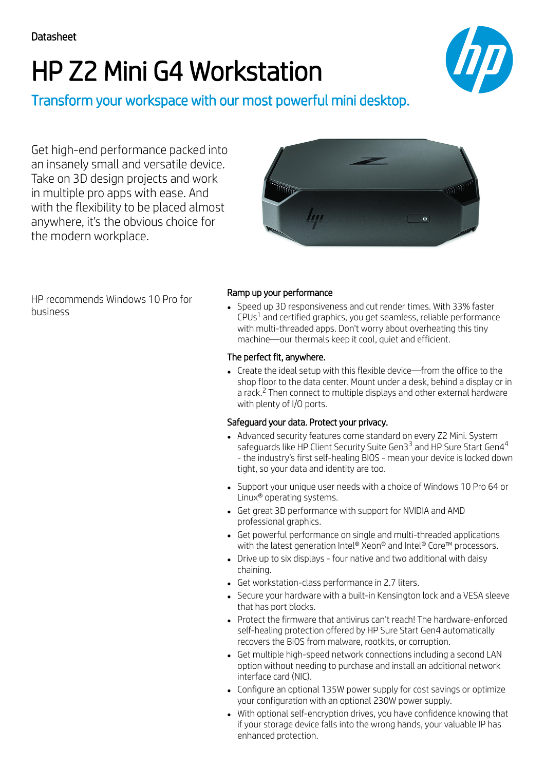# HP Z2 Mini G4 Workstation



Transform your workspace with our most powerful mini desktop.

Get high-end performance packed into an insanely small and versatile device. Take on 3D design projects and work in multiple pro apps with ease. And with the flexibility to be placed almost anywhere, it's the obvious choice for the modern workplace.



HP recommends Windows 10 Pro for business

## Ramp up your performance

Speed up 3D responsiveness and cut render times. With 33% faster CPUs<sup>1</sup> and certified graphics, you get seamless, reliable performance with multi-threaded apps. Don't worry about overheating this tiny machine—our thermals keep it cool, quiet and efficient.

#### The perfect fit, anywhere.

Create the ideal setup with this flexible device—from the office to the shop floor to the data center. Mount under a desk, behind a display or in a rack.<sup>2</sup> Then connect to multiple displays and other external hardware with plenty of I/O ports.

### Safeguard your data. Protect your privacy.

- Advanced security features come standard on every Z2 Mini. System safeguards like HP Client Security Suite Gen3 $^{\rm 3}$  and HP Sure Start Gen4 $^{\rm 4}$ - the industry's first self-healing BIOS - mean your device is locked down tight, so your data and identity are too.
- Support your unique user needs with a choice of Windows 10 Pro 64 or Linux® operating systems.
- Get great 3D performance with support for NVIDIA and AMD professional graphics.
- Get powerful performance on single and multi-threaded applications with the latest generation Intel® Xeon® and Intel® Core™ processors.
- Drive up to six displays four native and two additional with daisy chaining.
- Get workstation-class performance in 2.7 liters.
- Secure your hardware with a built-in Kensington lock and a VESA sleeve that has port blocks.
- Protect the firmware that antivirus can't reach! The hardware-enforced self-healing protection offered by HP Sure Start Gen4 automatically recovers the BIOS from malware, rootkits, or corruption.
- Get multiple high-speed network connections including a second LAN option without needing to purchase and install an additional network interface card (NIC).
- Configure an optional 135W power supply for cost savings or optimize your configuration with an optional 230W power supply.
- With optional self-encryption drives, you have confidence knowing that if your storage device falls into the wrong hands, your valuable IP has enhanced protection.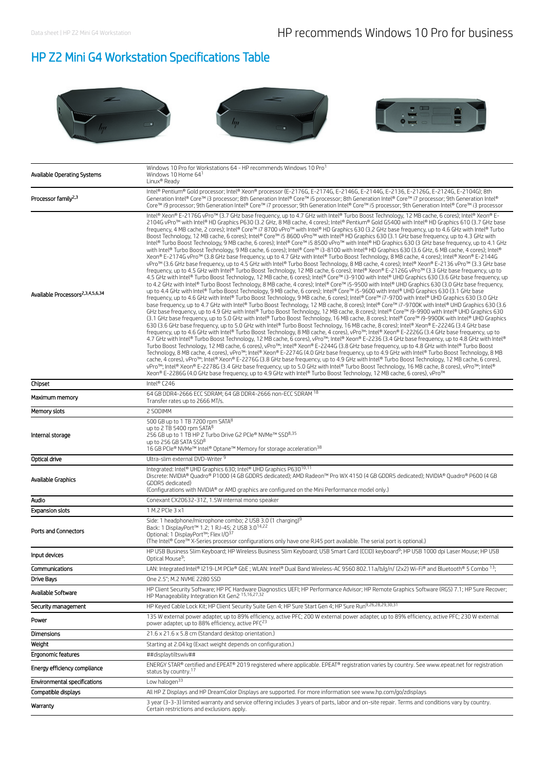# HP Z2 Mini G4 Workstation Specifications Table



| Available Operating Systems                  | Windows 10 Pro for Workstations 64 - HP recommends Windows 10 Pro<br>Windows 10 Home 64 <sup>1</sup><br>Linux <sup>®</sup> Readv                                                                                                                                                                                                                                                                                                                                                                                                                                                                                                                                                                                                                                                                                                                                                                                                                                                                                                                                                                                                                                                                                                                                                                                                                                                                                                                                                                                                                                                                                                                                                                                                                                                                                                                                                                                                                                                                                                                                                                                                                                                                                                                                                                                                                                                                                                                                                                                                                                                                                                                                                                                                                                                                                                                                                                                                                                                                                                                                                                                                                                                                                                                                                                                                                                                                                                                                                                                                                                                                |
|----------------------------------------------|-------------------------------------------------------------------------------------------------------------------------------------------------------------------------------------------------------------------------------------------------------------------------------------------------------------------------------------------------------------------------------------------------------------------------------------------------------------------------------------------------------------------------------------------------------------------------------------------------------------------------------------------------------------------------------------------------------------------------------------------------------------------------------------------------------------------------------------------------------------------------------------------------------------------------------------------------------------------------------------------------------------------------------------------------------------------------------------------------------------------------------------------------------------------------------------------------------------------------------------------------------------------------------------------------------------------------------------------------------------------------------------------------------------------------------------------------------------------------------------------------------------------------------------------------------------------------------------------------------------------------------------------------------------------------------------------------------------------------------------------------------------------------------------------------------------------------------------------------------------------------------------------------------------------------------------------------------------------------------------------------------------------------------------------------------------------------------------------------------------------------------------------------------------------------------------------------------------------------------------------------------------------------------------------------------------------------------------------------------------------------------------------------------------------------------------------------------------------------------------------------------------------------------------------------------------------------------------------------------------------------------------------------------------------------------------------------------------------------------------------------------------------------------------------------------------------------------------------------------------------------------------------------------------------------------------------------------------------------------------------------------------------------------------------------------------------------------------------------------------------------------------------------------------------------------------------------------------------------------------------------------------------------------------------------------------------------------------------------------------------------------------------------------------------------------------------------------------------------------------------------------------------------------------------------------------------------------------------------|
| Processor family <sup>2,3</sup>              | Intel® Pentium® Gold processor; Intel® Xeon® processor (E-2176G, E-2174G, E-2146G, E-2144G, E-2136, E-2126G, E-2124G, E-2104G); 8th<br>Generation Intel® Core™ i3 processor; 8th Generation Intel® Core™ i5 processor; 8th Generation Intel® Core™ i7 processor; 9th Generation Intel®<br>Core™ i9 processor; 9th Generation Intel® Core™ i7 processor; 9th Generation Intel® Core™ i5 processor; 9th Generation Intel® Core™ i3 processor                                                                                                                                                                                                                                                                                                                                                                                                                                                                                                                                                                                                                                                                                                                                                                                                                                                                                                                                                                                                                                                                                                                                                                                                                                                                                                                                                                                                                                                                                                                                                                                                                                                                                                                                                                                                                                                                                                                                                                                                                                                                                                                                                                                                                                                                                                                                                                                                                                                                                                                                                                                                                                                                                                                                                                                                                                                                                                                                                                                                                                                                                                                                                      |
| Available Processors <sup>2,3,4,5,6,34</sup> | Intel® Xeon® E-2176G vPro™ (3.7 GHz base frequency, up to 4.7 GHz with Intel® Turbo Boost Technology, 12 MB cache, 6 cores); Intel® Xeon® E-<br>2104G vPro™ with Intel® HD Graphics P630 (3.2 GHz, 8 MB cache, 4 cores); Intel® Pentium® Gold G5400 with Intel® HD Graphics 610 (3.7 GHz base<br>frequency, 4 MB cache, 2 cores); Intel® Core™ i7 8700 vPro™ with Intel® HD Graphics 630 (3.2 GHz base frequency, up to 4.6 GHz with Intel® Turbo<br>Boost Technology, 12 MB cache, 6 cores); Intel® Core™ i5 8600 vPro™ with Intel® HD Graphics 630 (3.1 GHz base frequency, up to 4.3 GHz with<br>Intel® Turbo Boost Technology, 9 MB cache, 6 cores); Intel® Core™ i5 8500 vPro™ with Intel® HD Graphics 630 (3 GHz base frequency, up to 4.1 GHz<br>with Intel® Turbo Boost Technology, 9 MB cache, 6 cores); Intel® Core™ i3-8100 with Intel® HD Graphics 630 (3.6 GHz, 6 MB cache, 4 cores); Intel®<br>Xeon® E-2174G vPro™ (3.8 GHz base frequency, up to 4.7 GHz with Intel® Turbo Boost Technology, 8 MB cache, 4 cores); Intel® Xeon® E-2144G<br>vPro™ (3.6 GHz base frequency, up to 4.5 GHz with Intel® Turbo Boost Technology, 8 MB cache, 4 cores); Intel® Xeon® E-2136 vPro™ (3.3 GHz base<br>frequency, up to 4.5 GHz with Intel® Turbo Boost Technology, 12 MB cache, 6 cores); Intel® Xeon® E-2126G vPro™ (3.3 GHz base frequency, up to<br>4.5 GHz with Intel® Turbo Boost Technology, 12 MB cache, 6 cores); Intel® Core™ i3-9100 with Intel® UHD Graphics 630 (3.6 GHz base frequency, up<br>to 4.2 GHz with Intel® Turbo Boost Technology, 8 MB cache, 4 cores); Intel® Core™ i5-9500 with Intel® UHD Graphics 630 (3.0 GHz base frequency,<br>up to 4.4 GHz with Intel® Turbo Boost Technology, 9 MB cache, 6 cores); Intel® Core™ i5-9600 with Intel® UHD Graphics 630 (3.1 GHz base<br>frequency, up to 4.6 GHz with Intel® Turbo Boost Technology, 9 MB cache, 6 cores); Intel® Core™ i7-9700 with Intel® UHD Graphics 630 (3.0 GHz<br>base frequency, up to 4.7 GHz with Intel® Turbo Boost Technology, 12 MB cache, 8 cores); Intel® Core™ i7-9700K with Intel® UHD Graphics 630 (3.6<br>GHz base frequency, up to 4.9 GHz with Intel® Turbo Boost Technology, 12 MB cache, 8 cores); Intel® Core™ i9-9900 with Intel® UHD Graphics 630<br>(3.1 GHz base frequency, up to 5.0 GHz with Intel® Turbo Boost Technology, 16 MB cache, 8 cores); Intel® Core™ i9-9900K with Intel® UHD Graphics<br>630 (3.6 GHz base frequency, up to 5.0 GHz with Intel® Turbo Boost Technology, 16 MB cache, 8 cores); Intel® Xeon® E-2224G (3.4 GHz base<br>frequency, up to 4.6 GHz with Intel® Turbo Boost Technology, 8 MB cache, 4 cores), vPro™; Intel® Xeon® E-2226G (3.4 GHz base frequency, up to<br>4.7 GHz with Intel® Turbo Boost Technology, 12 MB cache, 6 cores), vPro™; Intel® Xeon® E-2236 (3.4 GHz base frequency, up to 4.8 GHz with Intel®<br>Turbo Boost Technology, 12 MB cache, 6 cores), vPro™; Intel® Xeon® E-2244G (3.8 GHz base frequency, up to 4.8 GHz with Intel® Turbo Boost<br>Technology, 8 MB cache, 4 cores), vPro™; Intel® Xeon® E-2274G (4.0 GHz base frequency, up to 4.9 GHz with Intel® Turbo Boost Technology, 8 MB<br>cache, 4 cores), vPro™; Intel® Xeon® E-2276G (3.8 GHz base frequency, up to 4.9 GHz with Intel® Turbo Boost Technology, 12 MB cache, 6 cores),<br>vPro™; Intel® Xeon® E-2278G (3.4 GHz base frequency, up to 5.0 GHz with Intel® Turbo Boost Technology, 16 MB cache, 8 cores), vPro™; Intel®<br>Xeon® E-2286G (4.0 GHz base frequency, up to 4.9 GHz with Intel® Turbo Boost Technology, 12 MB cache, 6 cores), vPro™ |
| Chipset                                      | Intel® C246                                                                                                                                                                                                                                                                                                                                                                                                                                                                                                                                                                                                                                                                                                                                                                                                                                                                                                                                                                                                                                                                                                                                                                                                                                                                                                                                                                                                                                                                                                                                                                                                                                                                                                                                                                                                                                                                                                                                                                                                                                                                                                                                                                                                                                                                                                                                                                                                                                                                                                                                                                                                                                                                                                                                                                                                                                                                                                                                                                                                                                                                                                                                                                                                                                                                                                                                                                                                                                                                                                                                                                                     |
| Maximum memory                               | 64 GB DDR4-2666 ECC SDRAM; 64 GB DDR4-2666 non-ECC SDRAM 18<br>Transfer rates up to 2666 MT/s.                                                                                                                                                                                                                                                                                                                                                                                                                                                                                                                                                                                                                                                                                                                                                                                                                                                                                                                                                                                                                                                                                                                                                                                                                                                                                                                                                                                                                                                                                                                                                                                                                                                                                                                                                                                                                                                                                                                                                                                                                                                                                                                                                                                                                                                                                                                                                                                                                                                                                                                                                                                                                                                                                                                                                                                                                                                                                                                                                                                                                                                                                                                                                                                                                                                                                                                                                                                                                                                                                                  |
| Memory slots                                 | 2 SODIMM                                                                                                                                                                                                                                                                                                                                                                                                                                                                                                                                                                                                                                                                                                                                                                                                                                                                                                                                                                                                                                                                                                                                                                                                                                                                                                                                                                                                                                                                                                                                                                                                                                                                                                                                                                                                                                                                                                                                                                                                                                                                                                                                                                                                                                                                                                                                                                                                                                                                                                                                                                                                                                                                                                                                                                                                                                                                                                                                                                                                                                                                                                                                                                                                                                                                                                                                                                                                                                                                                                                                                                                        |
| Internal storage                             | 500 GB up to 1 TB 7200 rpm SATA <sup>8</sup><br>up to 2 TB 5400 rpm SATA <sup>8</sup><br>256 GB up to 1 TB HP Z Turbo Drive G2 PCIe® NVMe™ SSD8,35<br>up to 256 GB SATA SSD <sup>8</sup><br>16 GB PCIe® NVMe™ Intel® Optane™ Memory for storage acceleration <sup>38</sup>                                                                                                                                                                                                                                                                                                                                                                                                                                                                                                                                                                                                                                                                                                                                                                                                                                                                                                                                                                                                                                                                                                                                                                                                                                                                                                                                                                                                                                                                                                                                                                                                                                                                                                                                                                                                                                                                                                                                                                                                                                                                                                                                                                                                                                                                                                                                                                                                                                                                                                                                                                                                                                                                                                                                                                                                                                                                                                                                                                                                                                                                                                                                                                                                                                                                                                                      |
| Optical drive                                | Ultra-slim external DVD-Writer 9                                                                                                                                                                                                                                                                                                                                                                                                                                                                                                                                                                                                                                                                                                                                                                                                                                                                                                                                                                                                                                                                                                                                                                                                                                                                                                                                                                                                                                                                                                                                                                                                                                                                                                                                                                                                                                                                                                                                                                                                                                                                                                                                                                                                                                                                                                                                                                                                                                                                                                                                                                                                                                                                                                                                                                                                                                                                                                                                                                                                                                                                                                                                                                                                                                                                                                                                                                                                                                                                                                                                                                |
| Available Graphics                           | Integrated: Intel® UHD Graphics 630; Intel® UHD Graphics P63010,11<br>Discrete: NVIDIA® Quadro® P1000 (4 GB GDDR5 dedicated); AMD Radeon™ Pro WX 4150 (4 GB GDDR5 dedicated); NVIDIA® Quadro® P600 (4 GB<br>GDDR5 dedicated)<br>(Configurations with NVIDIA® or AMD graphics are configured on the Mini Performance model only.)                                                                                                                                                                                                                                                                                                                                                                                                                                                                                                                                                                                                                                                                                                                                                                                                                                                                                                                                                                                                                                                                                                                                                                                                                                                                                                                                                                                                                                                                                                                                                                                                                                                                                                                                                                                                                                                                                                                                                                                                                                                                                                                                                                                                                                                                                                                                                                                                                                                                                                                                                                                                                                                                                                                                                                                                                                                                                                                                                                                                                                                                                                                                                                                                                                                                |
| Audio                                        | Conexant CX20632-31Z, 1.5W internal mono speaker                                                                                                                                                                                                                                                                                                                                                                                                                                                                                                                                                                                                                                                                                                                                                                                                                                                                                                                                                                                                                                                                                                                                                                                                                                                                                                                                                                                                                                                                                                                                                                                                                                                                                                                                                                                                                                                                                                                                                                                                                                                                                                                                                                                                                                                                                                                                                                                                                                                                                                                                                                                                                                                                                                                                                                                                                                                                                                                                                                                                                                                                                                                                                                                                                                                                                                                                                                                                                                                                                                                                                |
| <b>Expansion slots</b>                       | 1 M.2 PCIe 3 x1                                                                                                                                                                                                                                                                                                                                                                                                                                                                                                                                                                                                                                                                                                                                                                                                                                                                                                                                                                                                                                                                                                                                                                                                                                                                                                                                                                                                                                                                                                                                                                                                                                                                                                                                                                                                                                                                                                                                                                                                                                                                                                                                                                                                                                                                                                                                                                                                                                                                                                                                                                                                                                                                                                                                                                                                                                                                                                                                                                                                                                                                                                                                                                                                                                                                                                                                                                                                                                                                                                                                                                                 |
| Ports and Connectors                         | Side: 1 headphone/microphone combo; 2 USB 3.0 (1 charging) <sup>9</sup><br>Back: 1 DisplayPort™ 1.2; 1 RJ-45; 2 USB 3.0 <sup>14,22</sup><br>Optional: 1 DisplayPort™; Flex I/O <sup>37</sup><br>(The Intel® Core™ X-Series processor configurations only have one RJ45 port available. The serial port is optional.)                                                                                                                                                                                                                                                                                                                                                                                                                                                                                                                                                                                                                                                                                                                                                                                                                                                                                                                                                                                                                                                                                                                                                                                                                                                                                                                                                                                                                                                                                                                                                                                                                                                                                                                                                                                                                                                                                                                                                                                                                                                                                                                                                                                                                                                                                                                                                                                                                                                                                                                                                                                                                                                                                                                                                                                                                                                                                                                                                                                                                                                                                                                                                                                                                                                                            |
| Input devices                                | HP USB Business Slim Keyboard; HP Wireless Business Slim Keyboard; USB Smart Card (CCID) keyboard <sup>9</sup> ; HP USB 1000 dpi Laser Mouse; HP USB<br>Optical Mouse <sup>9</sup> ;                                                                                                                                                                                                                                                                                                                                                                                                                                                                                                                                                                                                                                                                                                                                                                                                                                                                                                                                                                                                                                                                                                                                                                                                                                                                                                                                                                                                                                                                                                                                                                                                                                                                                                                                                                                                                                                                                                                                                                                                                                                                                                                                                                                                                                                                                                                                                                                                                                                                                                                                                                                                                                                                                                                                                                                                                                                                                                                                                                                                                                                                                                                                                                                                                                                                                                                                                                                                            |
| Communications                               | LAN: Integrated Intel® I219-LM PCle® GbE; WLAN: Intel® Dual Band Wireless-AC 9560 802.11a/b/g/n/ (2x2) Wi-Fi® and Bluetooth® 5 Combo 13;                                                                                                                                                                                                                                                                                                                                                                                                                                                                                                                                                                                                                                                                                                                                                                                                                                                                                                                                                                                                                                                                                                                                                                                                                                                                                                                                                                                                                                                                                                                                                                                                                                                                                                                                                                                                                                                                                                                                                                                                                                                                                                                                                                                                                                                                                                                                                                                                                                                                                                                                                                                                                                                                                                                                                                                                                                                                                                                                                                                                                                                                                                                                                                                                                                                                                                                                                                                                                                                        |
| Drive Bays                                   | One 2.5"; M.2 NVME 2280 SSD                                                                                                                                                                                                                                                                                                                                                                                                                                                                                                                                                                                                                                                                                                                                                                                                                                                                                                                                                                                                                                                                                                                                                                                                                                                                                                                                                                                                                                                                                                                                                                                                                                                                                                                                                                                                                                                                                                                                                                                                                                                                                                                                                                                                                                                                                                                                                                                                                                                                                                                                                                                                                                                                                                                                                                                                                                                                                                                                                                                                                                                                                                                                                                                                                                                                                                                                                                                                                                                                                                                                                                     |
| Available Software                           | HP Client Security Software; HP PC Hardware Diagnostics UEFI; HP Performance Advisor; HP Remote Graphics Software (RGS) 7.1; HP Sure Recover;<br>HP Manageability Integration Kit Gen2 15,16,27,32                                                                                                                                                                                                                                                                                                                                                                                                                                                                                                                                                                                                                                                                                                                                                                                                                                                                                                                                                                                                                                                                                                                                                                                                                                                                                                                                                                                                                                                                                                                                                                                                                                                                                                                                                                                                                                                                                                                                                                                                                                                                                                                                                                                                                                                                                                                                                                                                                                                                                                                                                                                                                                                                                                                                                                                                                                                                                                                                                                                                                                                                                                                                                                                                                                                                                                                                                                                              |
| Security management                          | HP Keyed Cable Lock Kit; HP Client Security Suite Gen 4; HP Sure Start Gen 4; HP Sure Run9,26,28,29,30,31                                                                                                                                                                                                                                                                                                                                                                                                                                                                                                                                                                                                                                                                                                                                                                                                                                                                                                                                                                                                                                                                                                                                                                                                                                                                                                                                                                                                                                                                                                                                                                                                                                                                                                                                                                                                                                                                                                                                                                                                                                                                                                                                                                                                                                                                                                                                                                                                                                                                                                                                                                                                                                                                                                                                                                                                                                                                                                                                                                                                                                                                                                                                                                                                                                                                                                                                                                                                                                                                                       |
| Power                                        | 135 W external power adapter, up to 89% efficiency, active PFC; 200 W external power adapter, up to 89% efficiency, active PFC; 230 W external<br>power adapter, up to 88% efficiency, active PFC <sup>23</sup>                                                                                                                                                                                                                                                                                                                                                                                                                                                                                                                                                                                                                                                                                                                                                                                                                                                                                                                                                                                                                                                                                                                                                                                                                                                                                                                                                                                                                                                                                                                                                                                                                                                                                                                                                                                                                                                                                                                                                                                                                                                                                                                                                                                                                                                                                                                                                                                                                                                                                                                                                                                                                                                                                                                                                                                                                                                                                                                                                                                                                                                                                                                                                                                                                                                                                                                                                                                 |
| Dimensions                                   | 21.6 x 21.6 x 5.8 cm (Standard desktop orientation.)                                                                                                                                                                                                                                                                                                                                                                                                                                                                                                                                                                                                                                                                                                                                                                                                                                                                                                                                                                                                                                                                                                                                                                                                                                                                                                                                                                                                                                                                                                                                                                                                                                                                                                                                                                                                                                                                                                                                                                                                                                                                                                                                                                                                                                                                                                                                                                                                                                                                                                                                                                                                                                                                                                                                                                                                                                                                                                                                                                                                                                                                                                                                                                                                                                                                                                                                                                                                                                                                                                                                            |
| Weight                                       | Starting at 2.04 kg (Exact weight depends on configuration.)                                                                                                                                                                                                                                                                                                                                                                                                                                                                                                                                                                                                                                                                                                                                                                                                                                                                                                                                                                                                                                                                                                                                                                                                                                                                                                                                                                                                                                                                                                                                                                                                                                                                                                                                                                                                                                                                                                                                                                                                                                                                                                                                                                                                                                                                                                                                                                                                                                                                                                                                                                                                                                                                                                                                                                                                                                                                                                                                                                                                                                                                                                                                                                                                                                                                                                                                                                                                                                                                                                                                    |
| Ergonomic features                           | ##displaytiltswiv##                                                                                                                                                                                                                                                                                                                                                                                                                                                                                                                                                                                                                                                                                                                                                                                                                                                                                                                                                                                                                                                                                                                                                                                                                                                                                                                                                                                                                                                                                                                                                                                                                                                                                                                                                                                                                                                                                                                                                                                                                                                                                                                                                                                                                                                                                                                                                                                                                                                                                                                                                                                                                                                                                                                                                                                                                                                                                                                                                                                                                                                                                                                                                                                                                                                                                                                                                                                                                                                                                                                                                                             |
| Energy efficiency compliance                 | ENERGY STAR® certified and EPEAT® 2019 registered where applicable. EPEAT® registration varies by country. See www.epeat.net for registration<br>status by country. <sup>17</sup>                                                                                                                                                                                                                                                                                                                                                                                                                                                                                                                                                                                                                                                                                                                                                                                                                                                                                                                                                                                                                                                                                                                                                                                                                                                                                                                                                                                                                                                                                                                                                                                                                                                                                                                                                                                                                                                                                                                                                                                                                                                                                                                                                                                                                                                                                                                                                                                                                                                                                                                                                                                                                                                                                                                                                                                                                                                                                                                                                                                                                                                                                                                                                                                                                                                                                                                                                                                                               |
| Environmental specifications                 | Low halogen $33$                                                                                                                                                                                                                                                                                                                                                                                                                                                                                                                                                                                                                                                                                                                                                                                                                                                                                                                                                                                                                                                                                                                                                                                                                                                                                                                                                                                                                                                                                                                                                                                                                                                                                                                                                                                                                                                                                                                                                                                                                                                                                                                                                                                                                                                                                                                                                                                                                                                                                                                                                                                                                                                                                                                                                                                                                                                                                                                                                                                                                                                                                                                                                                                                                                                                                                                                                                                                                                                                                                                                                                                |
| Compatible displays                          | All HP Z Displays and HP DreamColor Displays are supported. For more information see www.hp.com/go/zdisplays                                                                                                                                                                                                                                                                                                                                                                                                                                                                                                                                                                                                                                                                                                                                                                                                                                                                                                                                                                                                                                                                                                                                                                                                                                                                                                                                                                                                                                                                                                                                                                                                                                                                                                                                                                                                                                                                                                                                                                                                                                                                                                                                                                                                                                                                                                                                                                                                                                                                                                                                                                                                                                                                                                                                                                                                                                                                                                                                                                                                                                                                                                                                                                                                                                                                                                                                                                                                                                                                                    |
| Warranty                                     | 3 year (3-3-3) limited warranty and service offering includes 3 years of parts, labor and on-site repair. Terms and conditions vary by country.<br>Certain restrictions and exclusions apply.                                                                                                                                                                                                                                                                                                                                                                                                                                                                                                                                                                                                                                                                                                                                                                                                                                                                                                                                                                                                                                                                                                                                                                                                                                                                                                                                                                                                                                                                                                                                                                                                                                                                                                                                                                                                                                                                                                                                                                                                                                                                                                                                                                                                                                                                                                                                                                                                                                                                                                                                                                                                                                                                                                                                                                                                                                                                                                                                                                                                                                                                                                                                                                                                                                                                                                                                                                                                   |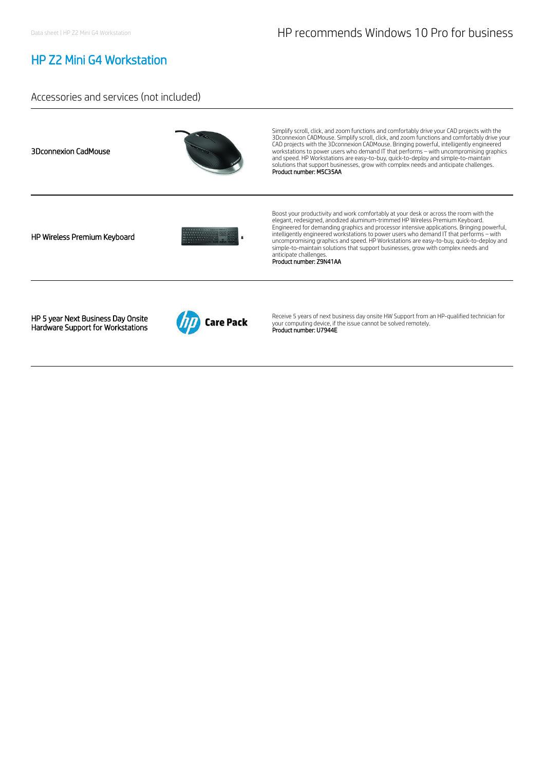## HP Z2 Mini G4 Workstation

### Accessories and services (not included)